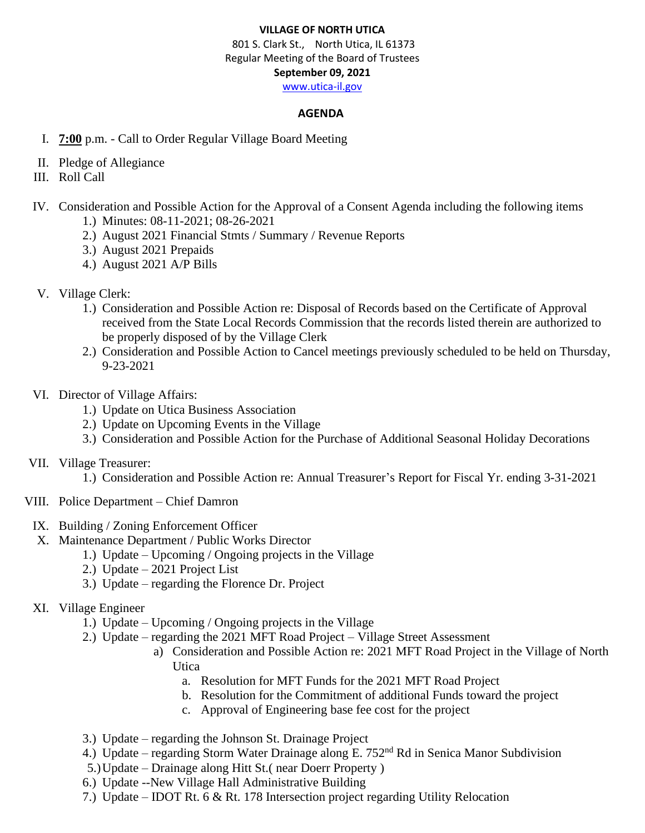## **VILLAGE OF NORTH UTICA**

 801 S. Clark St., North Utica, IL 61373 Regular Meeting of the Board of Trustees **September 09, 2021** [www.utica-il.gov](http://www.utica-il.gov/)

### **AGENDA**

- I. **7:00** p.m. Call to Order Regular Village Board Meeting
- II. Pledge of Allegiance
- III. Roll Call
- IV. Consideration and Possible Action for the Approval of a Consent Agenda including the following items 1.) Minutes: 08-11-2021; 08-26-2021
	- 2.) August 2021 Financial Stmts / Summary / Revenue Reports
	- 3.) August 2021 Prepaids
	- 4.) August 2021 A/P Bills
- V. Village Clerk:
	- 1.) Consideration and Possible Action re: Disposal of Records based on the Certificate of Approval received from the State Local Records Commission that the records listed therein are authorized to be properly disposed of by the Village Clerk
	- 2.) Consideration and Possible Action to Cancel meetings previously scheduled to be held on Thursday, 9-23-2021
- VI. Director of Village Affairs:
	- 1.) Update on Utica Business Association
	- 2.) Update on Upcoming Events in the Village
	- 3.) Consideration and Possible Action for the Purchase of Additional Seasonal Holiday Decorations
- VII. Village Treasurer:
	- 1.) Consideration and Possible Action re: Annual Treasurer's Report for Fiscal Yr. ending 3-31-2021
- VIII. Police Department Chief Damron
- IX. Building / Zoning Enforcement Officer
- X. Maintenance Department / Public Works Director
	- 1.) Update Upcoming / Ongoing projects in the Village
	- 2.) Update 2021 Project List
	- 3.) Update regarding the Florence Dr. Project
- XI. Village Engineer
	- 1.) Update Upcoming / Ongoing projects in the Village
	- 2.) Update regarding the 2021 MFT Road Project Village Street Assessment
		- a) Consideration and Possible Action re: 2021 MFT Road Project in the Village of North Utica
			- a. Resolution for MFT Funds for the 2021 MFT Road Project
			- b. Resolution for the Commitment of additional Funds toward the project
			- c. Approval of Engineering base fee cost for the project
	- 3.) Update regarding the Johnson St. Drainage Project
	- 4.) Update regarding Storm Water Drainage along E. 752<sup>nd</sup> Rd in Senica Manor Subdivision
	- 5.)Update Drainage along Hitt St.( near Doerr Property )
	- 6.) Update --New Village Hall Administrative Building
	- 7.) Update IDOT Rt. 6 & Rt. 178 Intersection project regarding Utility Relocation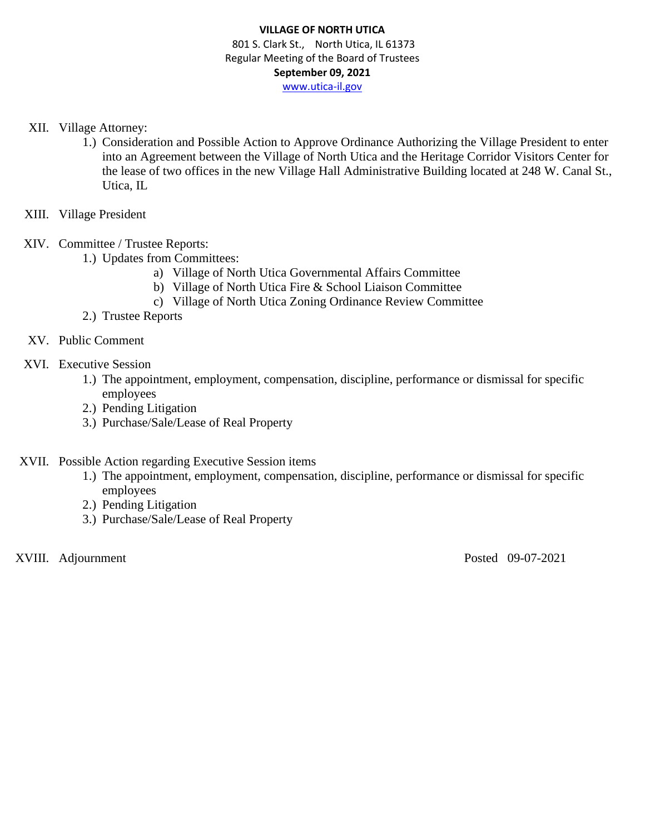- XII. Village Attorney:
	- 1.) Consideration and Possible Action to Approve Ordinance Authorizing the Village President to enter into an Agreement between the Village of North Utica and the Heritage Corridor Visitors Center for the lease of two offices in the new Village Hall Administrative Building located at 248 W. Canal St., Utica, IL
- XIII. Village President
- XIV. Committee / Trustee Reports:
	- 1.) Updates from Committees:
		- a) Village of North Utica Governmental Affairs Committee
		- b) Village of North Utica Fire & School Liaison Committee
		- c) Village of North Utica Zoning Ordinance Review Committee
	- 2.) Trustee Reports
- XV. Public Comment
- XVI. Executive Session
	- 1.) The appointment, employment, compensation, discipline, performance or dismissal for specific employees
	- 2.) Pending Litigation
	- 3.) Purchase/Sale/Lease of Real Property
- XVII. Possible Action regarding Executive Session items
	- 1.) The appointment, employment, compensation, discipline, performance or dismissal for specific employees
	- 2.) Pending Litigation
	- 3.) Purchase/Sale/Lease of Real Property

XVIII. Adjournment Posted 09-07-2021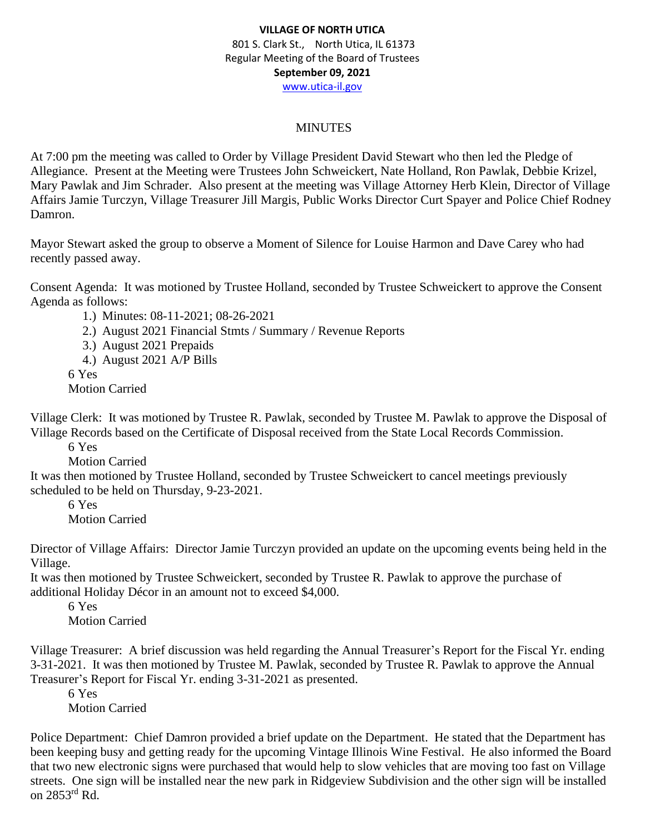# MINUTES

At 7:00 pm the meeting was called to Order by Village President David Stewart who then led the Pledge of Allegiance. Present at the Meeting were Trustees John Schweickert, Nate Holland, Ron Pawlak, Debbie Krizel, Mary Pawlak and Jim Schrader. Also present at the meeting was Village Attorney Herb Klein, Director of Village Affairs Jamie Turczyn, Village Treasurer Jill Margis, Public Works Director Curt Spayer and Police Chief Rodney Damron.

Mayor Stewart asked the group to observe a Moment of Silence for Louise Harmon and Dave Carey who had recently passed away.

Consent Agenda: It was motioned by Trustee Holland, seconded by Trustee Schweickert to approve the Consent Agenda as follows:

1.) Minutes: 08-11-2021; 08-26-2021

- 2.) August 2021 Financial Stmts / Summary / Revenue Reports
- 3.) August 2021 Prepaids
- 4.) August 2021 A/P Bills

6 Yes

Motion Carried

Village Clerk: It was motioned by Trustee R. Pawlak, seconded by Trustee M. Pawlak to approve the Disposal of Village Records based on the Certificate of Disposal received from the State Local Records Commission.

6 Yes

Motion Carried

It was then motioned by Trustee Holland, seconded by Trustee Schweickert to cancel meetings previously scheduled to be held on Thursday, 9-23-2021.

6 Yes

Motion Carried

Director of Village Affairs: Director Jamie Turczyn provided an update on the upcoming events being held in the Village.

It was then motioned by Trustee Schweickert, seconded by Trustee R. Pawlak to approve the purchase of additional Holiday Décor in an amount not to exceed \$4,000.

6 Yes Motion Carried

Village Treasurer: A brief discussion was held regarding the Annual Treasurer's Report for the Fiscal Yr. ending 3-31-2021. It was then motioned by Trustee M. Pawlak, seconded by Trustee R. Pawlak to approve the Annual Treasurer's Report for Fiscal Yr. ending 3-31-2021 as presented.

6 Yes Motion Carried

Police Department: Chief Damron provided a brief update on the Department. He stated that the Department has been keeping busy and getting ready for the upcoming Vintage Illinois Wine Festival. He also informed the Board that two new electronic signs were purchased that would help to slow vehicles that are moving too fast on Village streets. One sign will be installed near the new park in Ridgeview Subdivision and the other sign will be installed on 2853rd Rd.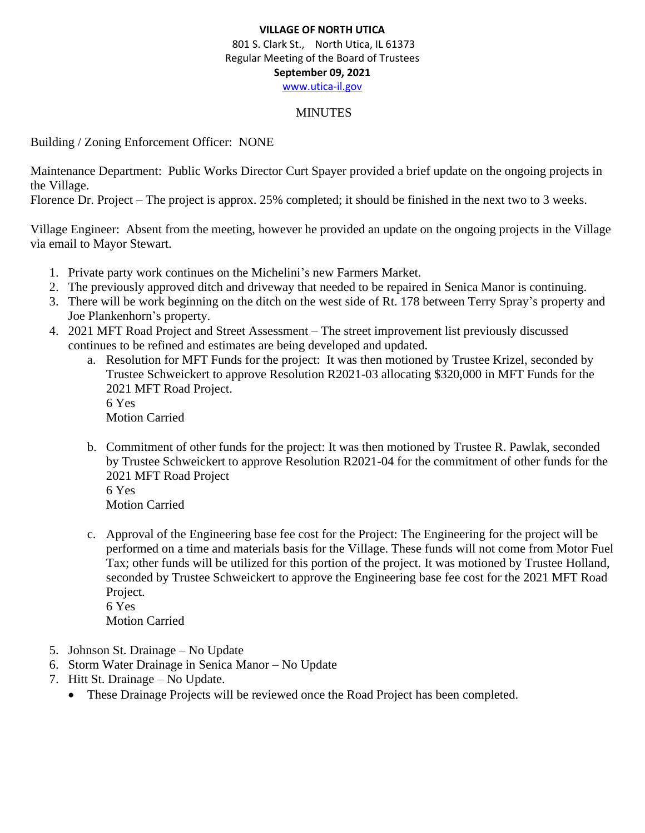### MINUTES

Building / Zoning Enforcement Officer: NONE

Maintenance Department: Public Works Director Curt Spayer provided a brief update on the ongoing projects in the Village.

Florence Dr. Project – The project is approx. 25% completed; it should be finished in the next two to 3 weeks.

Village Engineer: Absent from the meeting, however he provided an update on the ongoing projects in the Village via email to Mayor Stewart.

- 1. Private party work continues on the Michelini's new Farmers Market.
- 2. The previously approved ditch and driveway that needed to be repaired in Senica Manor is continuing.
- 3. There will be work beginning on the ditch on the west side of Rt. 178 between Terry Spray's property and Joe Plankenhorn's property.
- 4. 2021 MFT Road Project and Street Assessment The street improvement list previously discussed continues to be refined and estimates are being developed and updated.
	- a. Resolution for MFT Funds for the project: It was then motioned by Trustee Krizel, seconded by Trustee Schweickert to approve Resolution R2021-03 allocating \$320,000 in MFT Funds for the 2021 MFT Road Project. 6 Yes Motion Carried
	- b. Commitment of other funds for the project: It was then motioned by Trustee R. Pawlak, seconded by Trustee Schweickert to approve Resolution R2021-04 for the commitment of other funds for the 2021 MFT Road Project 6 Yes
		- Motion Carried
	- c. Approval of the Engineering base fee cost for the Project: The Engineering for the project will be performed on a time and materials basis for the Village. These funds will not come from Motor Fuel Tax; other funds will be utilized for this portion of the project. It was motioned by Trustee Holland, seconded by Trustee Schweickert to approve the Engineering base fee cost for the 2021 MFT Road Project. 6 Yes

Motion Carried

- 5. Johnson St. Drainage No Update
- 6. Storm Water Drainage in Senica Manor No Update
- 7. Hitt St. Drainage No Update.
	- These Drainage Projects will be reviewed once the Road Project has been completed.